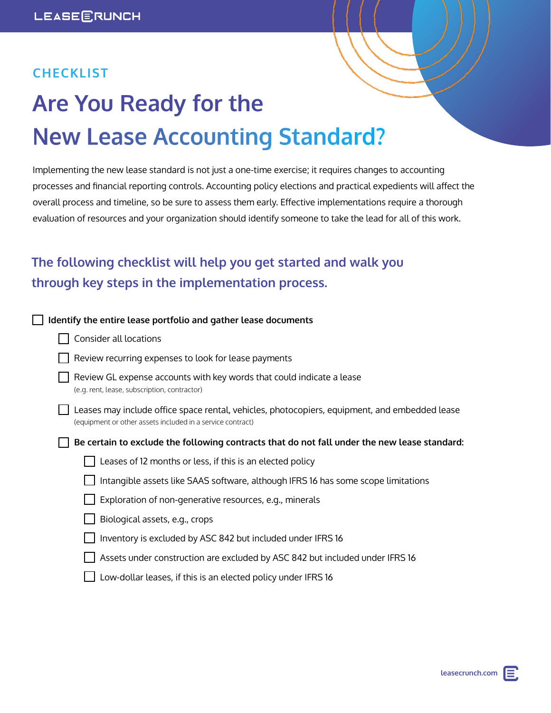## **CHECKLIST**

# **Are You Ready for the New Lease Accounting Standard?**

Implementing the new lease standard is not just a one-time exercise; it requires changes to accounting processes and financial reporting controls. Accounting policy elections and practical expedients will affect the overall process and timeline, so be sure to assess them early. Effective implementations require a thorough evaluation of resources and your organization should identify someone to take the lead for all of this work.

# **The following checklist will help you get started and walk you through key steps in the implementation process.**

| Identify the entire lease portfolio and gather lease documents                                                                                              |
|-------------------------------------------------------------------------------------------------------------------------------------------------------------|
| Consider all locations                                                                                                                                      |
| Review recurring expenses to look for lease payments                                                                                                        |
| Review GL expense accounts with key words that could indicate a lease<br>(e.g. rent, lease, subscription, contractor)                                       |
| Leases may include office space rental, vehicles, photocopiers, equipment, and embedded lease<br>(equipment or other assets included in a service contract) |
| Be certain to exclude the following contracts that do not fall under the new lease standard:                                                                |
| Leases of 12 months or less, if this is an elected policy                                                                                                   |
| Intangible assets like SAAS software, although IFRS 16 has some scope limitations                                                                           |
| Exploration of non-generative resources, e.g., minerals                                                                                                     |
| Biological assets, e.g., crops                                                                                                                              |
| Inventory is excluded by ASC 842 but included under IFRS 16                                                                                                 |
| Assets under construction are excluded by ASC 842 but included under IFRS 16                                                                                |
| Low-dollar leases, if this is an elected policy under IFRS 16                                                                                               |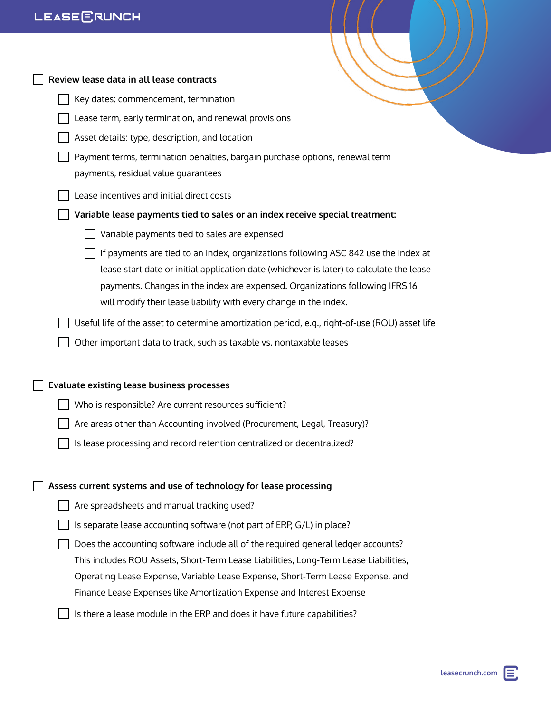| Review lease data in all lease contracts                                                                                                                                                                                                                                                                                            |
|-------------------------------------------------------------------------------------------------------------------------------------------------------------------------------------------------------------------------------------------------------------------------------------------------------------------------------------|
| Key dates: commencement, termination                                                                                                                                                                                                                                                                                                |
| Lease term, early termination, and renewal provisions                                                                                                                                                                                                                                                                               |
| Asset details: type, description, and location                                                                                                                                                                                                                                                                                      |
| Payment terms, termination penalties, bargain purchase options, renewal term<br>payments, residual value quarantees                                                                                                                                                                                                                 |
| Lease incentives and initial direct costs                                                                                                                                                                                                                                                                                           |
| Variable lease payments tied to sales or an index receive special treatment:                                                                                                                                                                                                                                                        |
| Variable payments tied to sales are expensed                                                                                                                                                                                                                                                                                        |
| If payments are tied to an index, organizations following ASC 842 use the index at<br>lease start date or initial application date (whichever is later) to calculate the lease<br>payments. Changes in the index are expensed. Organizations following IFRS 16<br>will modify their lease liability with every change in the index. |
| Useful life of the asset to determine amortization period, e.g., right-of-use (ROU) asset life                                                                                                                                                                                                                                      |
| Other important data to track, such as taxable vs. nontaxable leases                                                                                                                                                                                                                                                                |
| Evaluate existing lease business processes                                                                                                                                                                                                                                                                                          |
| Who is responsible? Are current resources sufficient?                                                                                                                                                                                                                                                                               |
| Are areas other than Accounting involved (Procurement, Legal, Treasury)?                                                                                                                                                                                                                                                            |
| Is lease processing and record retention centralized or decentralized?                                                                                                                                                                                                                                                              |
|                                                                                                                                                                                                                                                                                                                                     |
| Assess current systems and use of technology for lease processing                                                                                                                                                                                                                                                                   |
| Are spreadsheets and manual tracking used?                                                                                                                                                                                                                                                                                          |
| Is separate lease accounting software (not part of ERP, G/L) in place?                                                                                                                                                                                                                                                              |
| Does the accounting software include all of the required general ledger accounts?                                                                                                                                                                                                                                                   |
| This includes ROU Assets, Short-Term Lease Liabilities, Long-Term Lease Liabilities,                                                                                                                                                                                                                                                |
| Operating Lease Expense, Variable Lease Expense, Short-Term Lease Expense, and                                                                                                                                                                                                                                                      |
| Finance Lease Expenses like Amortization Expense and Interest Expense                                                                                                                                                                                                                                                               |
| Is there a lease module in the ERP and does it have future capabilities?                                                                                                                                                                                                                                                            |
|                                                                                                                                                                                                                                                                                                                                     |